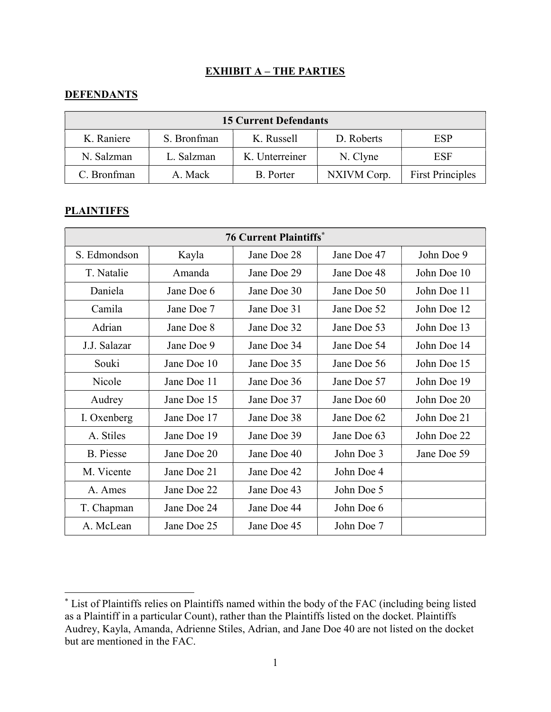## EXHIBIT A – THE PARTIES

## **DEFENDANTS**

| <b>15 Current Defendants</b> |             |                |             |                         |  |
|------------------------------|-------------|----------------|-------------|-------------------------|--|
| K. Raniere                   | S. Bronfman | K. Russell     | D. Roberts  | ESP                     |  |
| N. Salzman                   | L. Salzman  | K. Unterreiner | N. Clyne    | ESF                     |  |
| C. Bronfman                  | A. Mack     | B. Porter      | NXIVM Corp. | <b>First Principles</b> |  |

## **PLAINTIFFS**

| <b>76 Current Plaintiffs*</b> |             |             |             |             |  |
|-------------------------------|-------------|-------------|-------------|-------------|--|
| S. Edmondson                  | Kayla       | Jane Doe 28 | Jane Doe 47 | John Doe 9  |  |
| T. Natalie                    | Amanda      | Jane Doe 29 | Jane Doe 48 | John Doe 10 |  |
| Daniela                       | Jane Doe 6  | Jane Doe 30 | Jane Doe 50 | John Doe 11 |  |
| Camila                        | Jane Doe 7  | Jane Doe 31 | Jane Doe 52 | John Doe 12 |  |
| Adrian                        | Jane Doe 8  | Jane Doe 32 | Jane Doe 53 | John Doe 13 |  |
| J.J. Salazar                  | Jane Doe 9  | Jane Doe 34 | Jane Doe 54 | John Doe 14 |  |
| Souki                         | Jane Doe 10 | Jane Doe 35 | Jane Doe 56 | John Doe 15 |  |
| Nicole                        | Jane Doe 11 | Jane Doe 36 | Jane Doe 57 | John Doe 19 |  |
| Audrey                        | Jane Doe 15 | Jane Doe 37 | Jane Doe 60 | John Doe 20 |  |
| I. Oxenberg                   | Jane Doe 17 | Jane Doe 38 | Jane Doe 62 | John Doe 21 |  |
| A. Stiles                     | Jane Doe 19 | Jane Doe 39 | Jane Doe 63 | John Doe 22 |  |
| <b>B.</b> Piesse              | Jane Doe 20 | Jane Doe 40 | John Doe 3  | Jane Doe 59 |  |
| M. Vicente                    | Jane Doe 21 | Jane Doe 42 | John Doe 4  |             |  |
| A. Ames                       | Jane Doe 22 | Jane Doe 43 | John Doe 5  |             |  |
| T. Chapman                    | Jane Doe 24 | Jane Doe 44 | John Doe 6  |             |  |
| A. McLean                     | Jane Doe 25 | Jane Doe 45 | John Doe 7  |             |  |

<sup>\*</sup> List of Plaintiffs relies on Plaintiffs named within the body of the FAC (including being listed as a Plaintiff in a particular Count), rather than the Plaintiffs listed on the docket. Plaintiffs Audrey, Kayla, Amanda, Adrienne Stiles, Adrian, and Jane Doe 40 are not listed on the docket but are mentioned in the FAC.